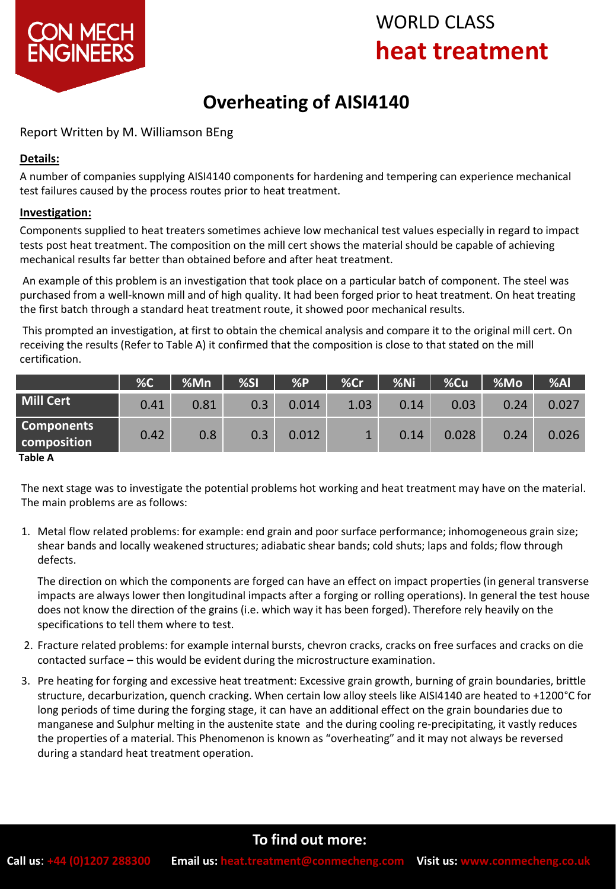

# WORLD CLASS **heat treatment**

# **Overheating of AISI4140**

Report Written by M. Williamson BEng

### **Details:**

A number of companies supplying AISI4140 components for hardening and tempering can experience mechanical test failures caused by the process routes prior to heat treatment.

### **Investigation:**

Components supplied to heat treaters sometimes achieve low mechanical test values especially in regard to impact tests post heat treatment. The composition on the mill cert shows the material should be capable of achieving mechanical results far better than obtained before and after heat treatment.

An example of this problem is an investigation that took place on a particular batch of component. The steel was purchased from a well-known mill and of high quality. It had been forged prior to heat treatment. On heat treating the first batch through a standard heat treatment route, it showed poor mechanical results.

This prompted an investigation, at first to obtain the chemical analysis and compare it to the original mill cert. On receiving the results (Refer to Table A) it confirmed that the composition is close to that stated on the mill certification.

|                                       | %C   | %Mn  | %SI | %P    | %Cr          | %Ni  | %Cu   | <b>%Mo</b> | %AI   |
|---------------------------------------|------|------|-----|-------|--------------|------|-------|------------|-------|
| <b>Mill Cert</b>                      | 0.41 | 0.81 | 0.3 | 0.014 | 1.03         | 0.14 | 0.03  | 0.24       | 0.027 |
| <b>Components</b><br>composition<br>_ | 0.42 | 0.8  | 0.3 | 0.012 | $\mathbf{1}$ | 0.14 | 0.028 | 0.24       | 0.026 |

#### **Table A**

The next stage was to investigate the potential problems hot working and heat treatment may have on the material. The main problems are as follows:

1. Metal flow related problems: for example: end grain and poor surface performance; inhomogeneous grain size; shear bands and locally weakened structures; adiabatic shear bands; cold shuts; laps and folds; flow through defects.

The direction on which the components are forged can have an effect on impact properties (in general transverse impacts are always lower then longitudinal impacts after a forging or rolling operations). In general the test house does not know the direction of the grains (i.e. which way it has been forged). Therefore rely heavily on the specifications to tell them where to test.

- 2. Fracture related problems: for example internal bursts, chevron cracks, cracks on free surfaces and cracks on die contacted surface – this would be evident during the microstructure examination.
- 3. Pre heating for forging and excessive heat treatment: Excessive grain growth, burning of grain boundaries, brittle structure, decarburization, quench cracking. When certain low alloy steels like AISI4140 are heated to +1200°C for long periods of time during the forging stage, it can have an additional effect on the grain boundaries due to manganese and Sulphur melting in the austenite state and the during cooling re-precipitating, it vastly reduces the properties of a material. This Phenomenon is known as "overheating" and it may not always be reversed during a standard heat treatment operation.

### **To find out more:**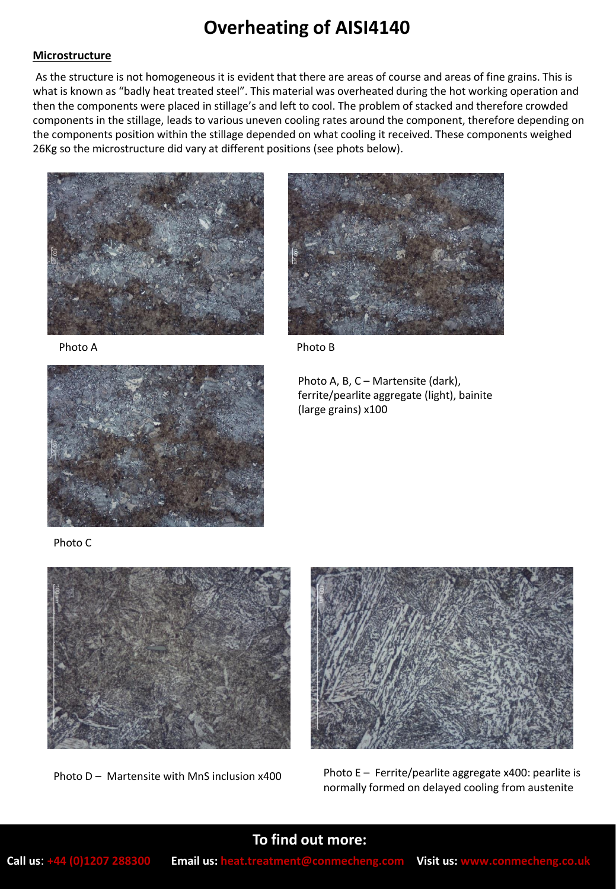## **Overheating of AISI4140**

#### **Microstructure**

As the structure is not homogeneous it is evident that there are areas of course and areas of fine grains. This is what is known as "badly heat treated steel". This material was overheated during the hot working operation and then the components were placed in stillage's and left to cool. The problem of stacked and therefore crowded components in the stillage, leads to various uneven cooling rates around the component, therefore depending on the components position within the stillage depended on what cooling it received. These components weighed 26Kg so the microstructure did vary at different positions (see phots below).



Photo A



Photo C



Photo B

Photo A, B, C – Martensite (dark), ferrite/pearlite aggregate (light), bainite (large grains) x100





Photo D – Martensite with MnS inclusion  $x400$  Photo E – Ferrite/pearlite aggregate x400: pearlite is normally formed on delayed cooling from austenite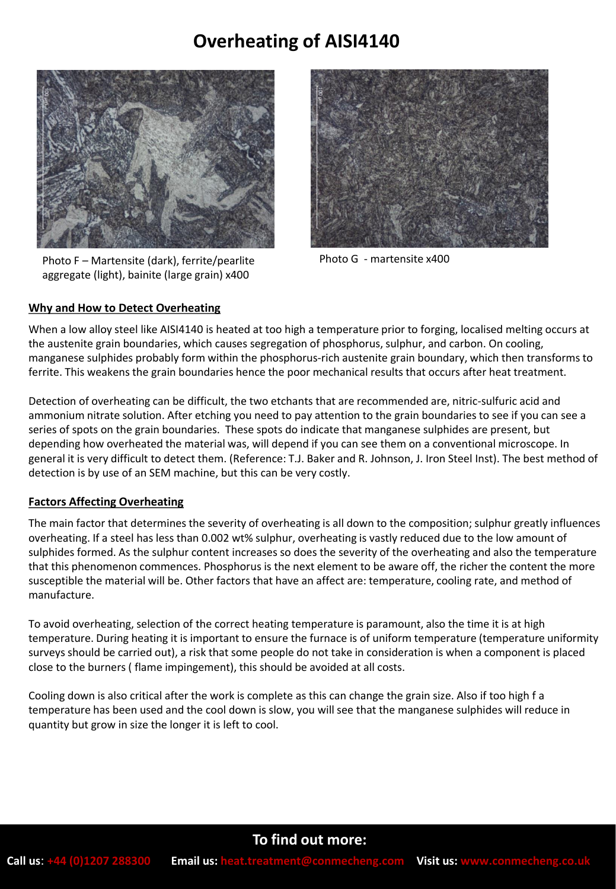### **Overheating of AISI4140**



Photo F – Martensite (dark), ferrite/pearlite aggregate (light), bainite (large grain) x400



Photo G - martensite x400

### **Why and How to Detect Overheating**

When a low alloy steel like AISI4140 is heated at too high a temperature prior to forging, localised melting occurs at the austenite grain boundaries, which causes segregation of phosphorus, sulphur, and carbon. On cooling, manganese sulphides probably form within the phosphorus-rich austenite grain boundary, which then transforms to ferrite. This weakens the grain boundaries hence the poor mechanical results that occurs after heat treatment.

Detection of overheating can be difficult, the two etchants that are recommended are, nitric-sulfuric acid and ammonium nitrate solution. After etching you need to pay attention to the grain boundaries to see if you can see a series of spots on the grain boundaries. These spots do indicate that manganese sulphides are present, but depending how overheated the material was, will depend if you can see them on a conventional microscope. In general it is very difficult to detect them. (Reference: T.J. Baker and R. Johnson, J. Iron Steel Inst). The best method of detection is by use of an SEM machine, but this can be very costly.

#### **Factors Affecting Overheating**

The main factor that determines the severity of overheating is all down to the composition; sulphur greatly influences overheating. If a steel has less than 0.002 wt% sulphur, overheating is vastly reduced due to the low amount of sulphides formed. As the sulphur content increases so does the severity of the overheating and also the temperature that this phenomenon commences. Phosphorus is the next element to be aware off, the richer the content the more susceptible the material will be. Other factors that have an affect are: temperature, cooling rate, and method of manufacture.

To avoid overheating, selection of the correct heating temperature is paramount, also the time it is at high temperature. During heating it is important to ensure the furnace is of uniform temperature (temperature uniformity surveys should be carried out), a risk that some people do not take in consideration is when a component is placed close to the burners ( flame impingement), this should be avoided at all costs.

Cooling down is also critical after the work is complete as this can change the grain size. Also if too high f a temperature has been used and the cool down is slow, you will see that the manganese sulphides will reduce in quantity but grow in size the longer it is left to cool.

### **To find out more:**